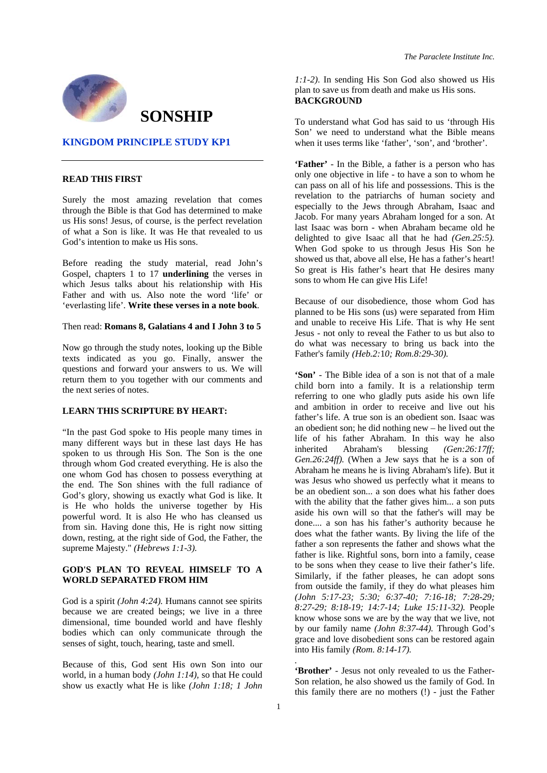

# **SONSHIP**

#### **KINGDOM PRINCIPLE STUDY KP1**

## **READ THIS FIRST**

Surely the most amazing revelation that comes through the Bible is that God has determined to make us His sons! Jesus, of course, is the perfect revelation of what a Son is like. It was He that revealed to us God's intention to make us His sons.

Before reading the study material, read John's Gospel, chapters 1 to 17 **underlining** the verses in which Jesus talks about his relationship with His Father and with us. Also note the word 'life' or 'everlasting life'. **Write these verses in a note book**.

Then read: **Romans 8, Galatians 4 and I John 3 to 5** 

Now go through the study notes, looking up the Bible texts indicated as you go. Finally, answer the questions and forward your answers to us. We will return them to you together with our comments and the next series of notes.

# **LEARN THIS SCRIPTURE BY HEART:**

"In the past God spoke to His people many times in many different ways but in these last days He has spoken to us through His Son. The Son is the one through whom God created everything. He is also the one whom God has chosen to possess everything at the end. The Son shines with the full radiance of God's glory, showing us exactly what God is like. It is He who holds the universe together by His powerful word. It is also He who has cleansed us from sin. Having done this, He is right now sitting down, resting, at the right side of God, the Father, the supreme Majesty." *(Hebrews 1:1-3).*

# **GOD'S PLAN TO REVEAL HIMSELF TO A WORLD SEPARATED FROM HIM**

God is a spirit *(John 4:24).* Humans cannot see spirits because we are created beings; we live in a three dimensional, time bounded world and have fleshly bodies which can only communicate through the senses of sight, touch, hearing, taste and smell.

Because of this, God sent His own Son into our world, in a human body *(John 1:14),* so that He could show us exactly what He is like *(John 1:18; 1 John* 

*The Paraclete Institute Inc.* 

*1:1-2)*. In sending His Son God also showed us His plan to save us from death and make us His sons. **BACKGROUND** 

To understand what God has said to us 'through His Son' we need to understand what the Bible means when it uses terms like 'father', 'son', and 'brother'.

**'Father'** - In the Bible, a father is a person who has only one objective in life - to have a son to whom he can pass on all of his life and possessions. This is the revelation to the patriarchs of human society and especially to the Jews through Abraham, Isaac and Jacob. For many years Abraham longed for a son. At last Isaac was born - when Abraham became old he delighted to give Isaac all that he had *(Gen.25:5).*  When God spoke to us through Jesus His Son he showed us that, above all else, He has a father's heart! So great is His father's heart that He desires many sons to whom He can give His Life!

Because of our disobedience, those whom God has planned to be His sons (us) were separated from Him and unable to receive His Life. That is why He sent Jesus - not only to reveal the Father to us but also to do what was necessary to bring us back into the Father's family *(Heb.2:*1*0; Rom.8:29-30).* 

**'Son'** - The Bible idea of a son is not that of a male child born into a family. It is a relationship term referring to one who gladly puts aside his own life and ambition in order to receive and live out his father's life. A true son is an obedient son. Isaac was an obedient son; he did nothing new – he lived out the life of his father Abraham. In this way he also inherited Abraham's blessing *(Gen:26:17ff; Gen.26:24ff).* (When a Jew says that he is a son of Abraham he means he is living Abraham's life). But it was Jesus who showed us perfectly what it means to be an obedient son... a son does what his father does with the ability that the father gives him... a son puts aside his own will so that the father's will may be done.... a son has his father's authority because he does what the father wants. By living the life of the father a son represents the father and shows what the father is like. Rightful sons, born into a family, cease to be sons when they cease to live their father's life. Similarly, if the father pleases, he can adopt sons from outside the family, if they do what pleases him *(John 5:17-23; 5:30; 6:37-40; 7:16-18; 7:28-29; 8:27-29; 8:18-19; 14:7-14; Luke 15:11-32).* People know whose sons we are by the way that we live, not by our family name *(John 8:37-44).* Through God's grace and love disobedient sons can be restored again into His family *(Rom. 8:14-17).* 

**'Brother'** - Jesus not only revealed to us the Father-Son relation, he also showed us the family of God. In this family there are no mothers (!) - just the Father

*.*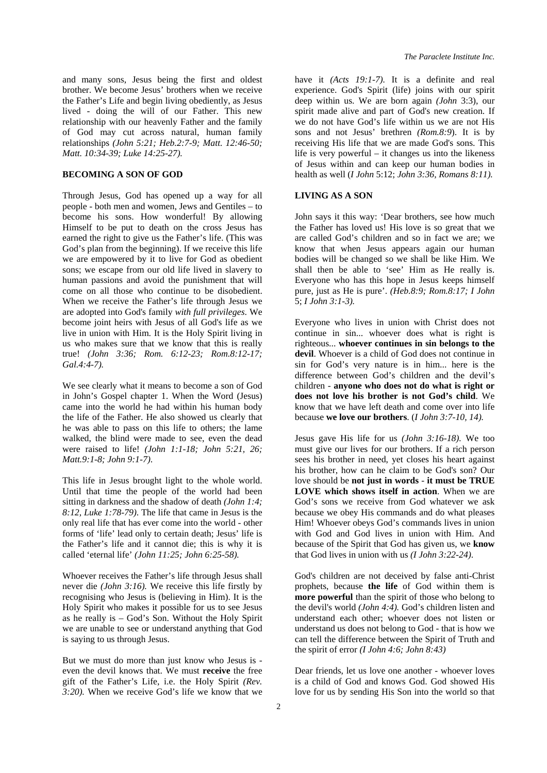and many sons, Jesus being the first and oldest brother. We become Jesus' brothers when we receive the Father's Life and begin living obediently, as Jesus lived - doing the will of our Father. This new relationship with our heavenly Father and the family of God may cut across natural, human family relationships *(John 5:21; Heb.2:7-9; Matt. 12:46-50; Matt. 10:34-39; Luke 14:25-27).*

### **BECOMING A SON OF GOD**

Through Jesus, God has opened up a way for all people - both men and women, Jews and Gentiles – to become his sons. How wonderful! By allowing Himself to be put to death on the cross Jesus has earned the right to give us the Father's life. (This was God's plan from the beginning). If we receive this life we are empowered by it to live for God as obedient sons; we escape from our old life lived in slavery to human passions and avoid the punishment that will come on all those who continue to be disobedient. When we receive the Father's life through Jesus we are adopted into God's family *with full privileges*. We become joint heirs with Jesus of all God's life as we live in union with Him. It is the Holy Spirit living in us who makes sure that we know that this is really true! *(John 3:36; Rom. 6:12-23; Rom.8:12-17; Gal.4:4-7).* 

We see clearly what it means to become a son of God in John's Gospel chapter 1. When the Word (Jesus) came into the world he had within his human body the life of the Father. He also showed us clearly that he was able to pass on this life to others; the lame walked, the blind were made to see, even the dead were raised to life! *(John 1:1-18; John 5:21, 26; Matt.9:1-8; John 9:1-7)*.

This life in Jesus brought light to the whole world. Until that time the people of the world had been sitting in darkness and the shadow of death *(John 1:4; 8:12, Luke 1:78-79)*. The life that came in Jesus is the only real life that has ever come into the world - other forms of 'life' lead only to certain death; Jesus' life is the Father's life and it cannot die; this is why it is called 'eternal life' *(John 11:25; John 6:25-58).* 

Whoever receives the Father's life through Jesus shall never die *(John 3:16).* We receive this life firstly by recognising who Jesus is (believing in Him). It is the Holy Spirit who makes it possible for us to see Jesus as he really is – God's Son. Without the Holy Spirit we are unable to see or understand anything that God is saying to us through Jesus.

But we must do more than just know who Jesus is even the devil knows that. We must **receive** the free gift of the Father's Life, i.e. the Holy Spirit *(Rev. 3:20).* When we receive God's life we know that we have it *(Acts 19:1-7).* It is a definite and real experience. God's Spirit (life) joins with our spirit deep within us. We are born again *(John* 3:3), our spirit made alive and part of God's new creation. If we do not have God's life within us we are not His sons and not Jesus' brethren *(Rom.8:9*). It is by receiving His life that we are made God's sons. This life is very powerful – it changes us into the likeness of Jesus within and can keep our human bodies in health as well (*I John* 5:12; *John 3:36, Romans 8:11).* 

# **LIVING AS A SON**

John says it this way: 'Dear brothers, see how much the Father has loved us! His love is so great that we are called God's children and so in fact we are; we know that when Jesus appears again our human bodies will be changed so we shall be like Him. We shall then be able to 'see' Him as He really is. Everyone who has this hope in Jesus keeps himself pure, just as He is pure'. *(Heb.8:9; Rom.8:17; I John*  5; *I John 3:1-3).* 

Everyone who lives in union with Christ does not continue in sin... whoever does what is right is righteous... **whoever continues in sin belongs to the devil**. Whoever is a child of God does not continue in sin for God's very nature is in him... here is the difference between God's children and the devil's children - **anyone who does not do what is right or does not love his brother is not God's child**. We know that we have left death and come over into life because **we love our brothers**. (*I John 3:7-10, 14).* 

Jesus gave His life for us *(John 3:16-18).* We too must give our lives for our brothers. If a rich person sees his brother in need, yet closes his heart against his brother, how can he claim to be God's son? Our love should be **not just in words** - **it must be TRUE LOVE which shows itself in action**. When we are God's sons we receive from God whatever we ask because we obey His commands and do what pleases Him! Whoever obeys God's commands lives in union with God and God lives in union with Him. And because of the Spirit that God has given us, we **know**  that God lives in union with us *(I John 3:22-24)*.

God's children are not deceived by false anti-Christ prophets, because **the life** of God within them is **more powerful** than the spirit of those who belong to the devil's world *(John 4:4).* God's children listen and understand each other; whoever does not listen or understand us does not belong to God - that is how we can tell the difference between the Spirit of Truth and the spirit of error *(I John 4:6; John 8:43)* 

Dear friends, let us love one another - whoever loves is a child of God and knows God. God showed His love for us by sending His Son into the world so that